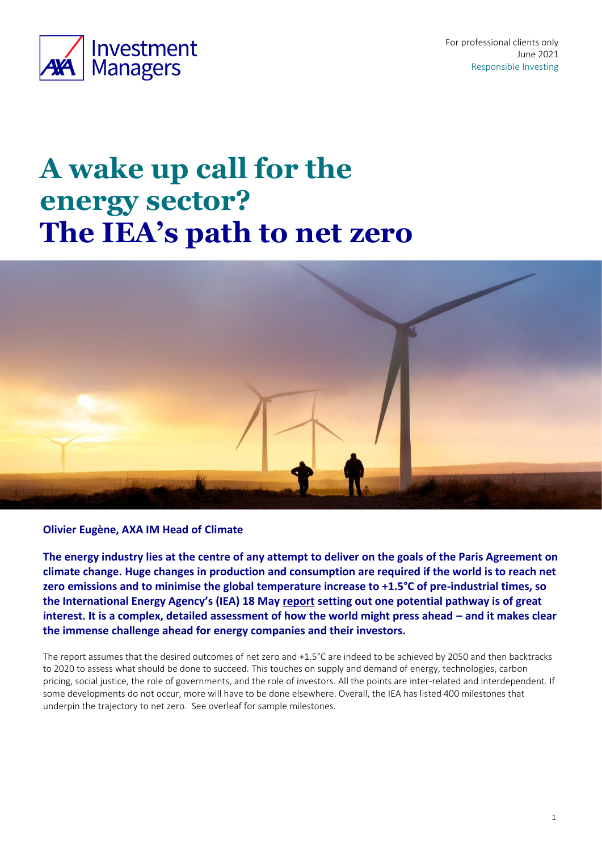

For professional clients only June 2021 Responsible Investing

# **A wake up call for the energy sector? The IEA's path to net zero**



### **Olivier Eugène, AXA IM Head of Climate**

**The energy industry lies at the centre of any attempt to deliver on the goals of the Paris Agreement on climate change. Huge changes in production and consumption are required if the world is to reach net zero emissions and to minimise the global temperature increase to +1.5°C of pre-industrial times, so the International Energy Agency's (IEA) 18 May [report](https://iea.blob.core.windows.net/assets/4482cac7-edd6-4c03-b6a2-8e79792d16d9/NetZeroby2050-ARoadmapfortheGlobalEnergySector.pdf) setting out one potential pathway is of great interest. It is a complex, detailed assessment of how the world might press ahead – and it makes clear the immense challenge ahead for energy companies and their investors.** 

The report assumes that the desired outcomes of net zero and +1.5°C are indeed to be achieved by 2050 and then backtracks to 2020 to assess what should be done to succeed. This touches on supply and demand of energy, technologies, carbon pricing, social justice, the role of governments, and the role of investors. All the points are inter-related and interdependent. If some developments do not occur, more will have to be done elsewhere. Overall, the IEA has listed 400 milestones that underpin the trajectory to net zero. See overleaf for sample milestones.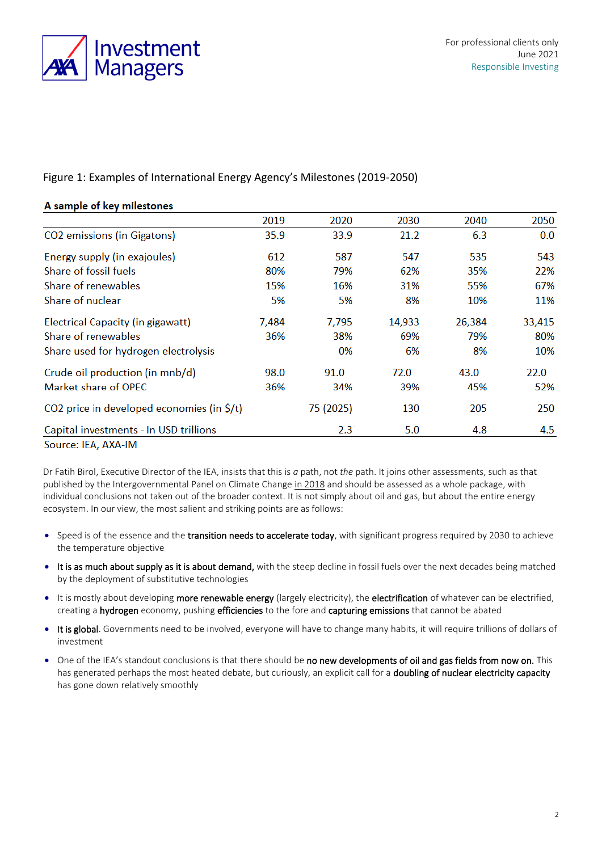

## Figure 1: Examples of International Energy Agency's Milestones (2019-2050)

| A sample of key milestones                                                    |       |               |        |        |        |
|-------------------------------------------------------------------------------|-------|---------------|--------|--------|--------|
|                                                                               | 2019  | 2020          | 2030   | 2040   | 2050   |
| CO2 emissions (in Gigatons)                                                   | 35.9  | 33.9          | 21.2   | 6.3    | 0.0    |
| Energy supply (in exajoules)                                                  | 612   | 587           | 547    | 535    | 543    |
| Share of fossil fuels                                                         | 80%   | 79%           | 62%    | 35%    | 22%    |
| Share of renewables                                                           | 15%   | 16%           | 31%    | 55%    | 67%    |
| Share of nuclear                                                              | 5%    | 5%            | 8%     | 10%    | 11%    |
| Electrical Capacity (in gigawatt)                                             | 7,484 | 7,795         | 14,933 | 26,384 | 33,415 |
| Share of renewables                                                           | 36%   | 38%           | 69%    | 79%    | 80%    |
| Share used for hydrogen electrolysis                                          |       | 0%            | 6%     | 8%     | 10%    |
| Crude oil production (in mnb/d)                                               | 98.0  | 91.0          | 72.0   | 43.0   | 22.0   |
| Market share of OPEC                                                          | 36%   | 34%           | 39%    | 45%    | 52%    |
| CO2 price in developed economies (in $\zeta/t$ )                              |       | 75 (2025)     | 130    | 205    | 250    |
| Capital investments - In USD trillions                                        |       | $2.3^{\circ}$ | 5.0    | 4.8    | 4.5    |
| $\Gamma$ $\Gamma$ $\Lambda$ $\Lambda$ $\Lambda$ $\Lambda$ $\Lambda$ $\Lambda$ |       |               |        |        |        |

#### Source: IEA, AXA-IM

Dr Fatih Birol, Executive Director of the IEA, insists that this is *a* path, not *the* path. It joins other assessments, such as that published by the Intergovernmental Panel on Climate Chang[e in 2018](https://www.ipcc.ch/2018/10/08/summary-for-policymakers-of-ipcc-special-report-on-global-warming-of-1-5c-approved-by-governments/) and should be assessed as a whole package, with individual conclusions not taken out of the broader context. It is not simply about oil and gas, but about the entire energy ecosystem. In our view, the most salient and striking points are as follows:

- Speed is of the essence and the transition needs to accelerate today, with significant progress required by 2030 to achieve the temperature objective
- It is as much about supply as it is about demand, with the steep decline in fossil fuels over the next decades being matched by the deployment of substitutive technologies
- It is mostly about developing more renewable energy (largely electricity), the electrification of whatever can be electrified, creating a hydrogen economy, pushing efficiencies to the fore and capturing emissions that cannot be abated
- It is global. Governments need to be involved, everyone will have to change many habits, it will require trillions of dollars of investment
- One of the IEA's standout conclusions is that there should be no new developments of oil and gas fields from now on. This has generated perhaps the most heated debate, but curiously, an explicit call for a doubling of nuclear electricity capacity has gone down relatively smoothly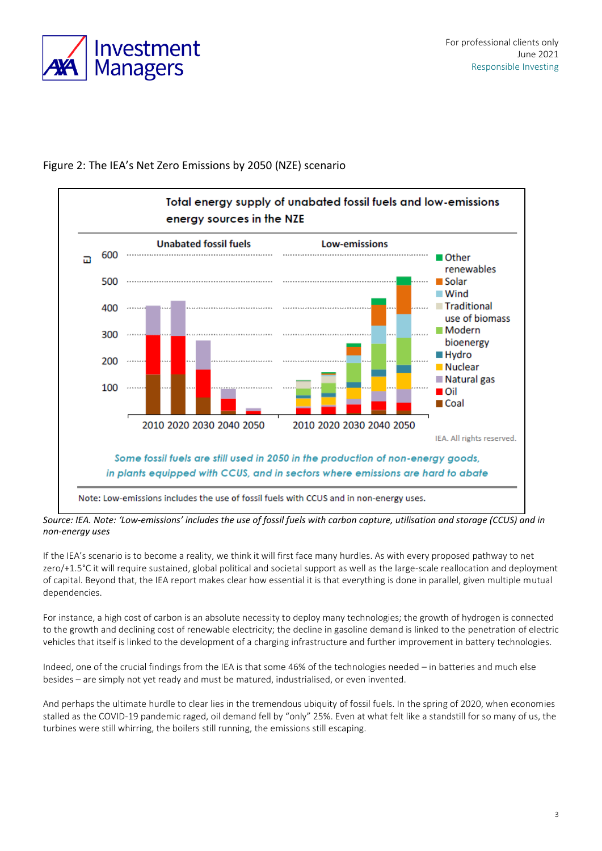



## Figure 2: The IEA's Net Zero Emissions by 2050 (NZE) scenario

*Source: IEA. Note: 'Low-emissions' includes the use of fossil fuels with carbon capture, utilisation and storage (CCUS) and in non-energy uses*

If the IEA's scenario is to become a reality, we think it will first face many hurdles. As with every proposed pathway to net zero/+1.5°C it will require sustained, global political and societal support as well as the large-scale reallocation and deployment of capital. Beyond that, the IEA report makes clear how essential it is that everything is done in parallel, given multiple mutual dependencies.

For instance, a high cost of carbon is an absolute necessity to deploy many technologies; the growth of hydrogen is connected to the growth and declining cost of renewable electricity; the decline in gasoline demand is linked to the penetration of electric vehicles that itself is linked to the development of a charging infrastructure and further improvement in battery technologies.

Indeed, one of the crucial findings from the IEA is that some 46% of the technologies needed – in batteries and much else besides – are simply not yet ready and must be matured, industrialised, or even invented.

And perhaps the ultimate hurdle to clear lies in the tremendous ubiquity of fossil fuels. In the spring of 2020, when economies stalled as the COVID-19 pandemic raged, oil demand fell by "only" 25%. Even at what felt like a standstill for so many of us, the turbines were still whirring, the boilers still running, the emissions still escaping.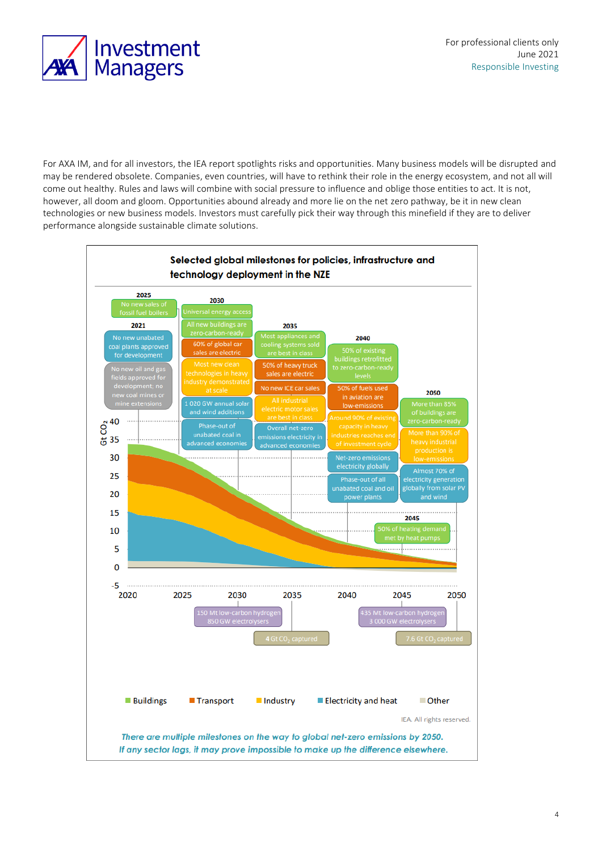



For AXA IM, and for all investors, the IEA report spotlights risks and opportunities. Many business models will be disrupted and may be rendered obsolete. Companies, even countries, will have to rethink their role in the energy ecosystem, and not all will come out healthy. Rules and laws will combine with social pressure to influence and oblige those entities to act. It is not, however, all doom and gloom. Opportunities abound already and more lie on the net zero pathway, be it in new clean technologies or new business models. Investors must carefully pick their way through this minefield if they are to deliver performance alongside sustainable climate solutions.